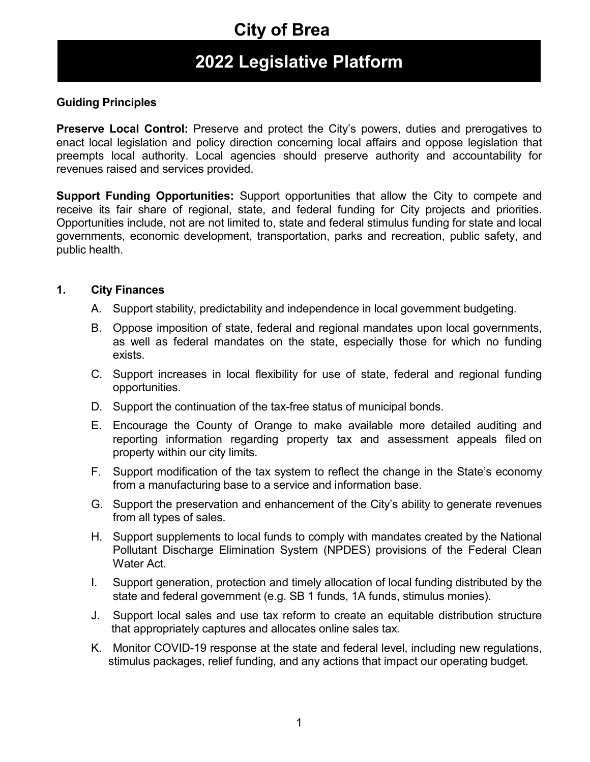### **2022 Legislative Platform**

### **Guiding Principles**

**Preserve Local Control:** Preserve and protect the City's powers, duties and prerogatives to enact local legislation and policy direction concerning local affairs and oppose legislation that preempts local authority. Local agencies should preserve authority and accountability for revenues raised and services provided.

**Support Funding Opportunities:** Support opportunities that allow the City to compete and receive its fair share of regional, state, and federal funding for City projects and priorities. Opportunities include, not are not limited to, state and federal stimulus funding for state and local governments, economic development, transportation, parks and recreation, public safety, and public health.

#### **1. City Finances**

- A. Support stability, predictability and independence in local government budgeting.
- B. Oppose imposition of state, federal and regional mandates upon local governments, as well as federal mandates on the state, especially those for which no funding exists.
- C. Support increases in local flexibility for use of state, federal and regional funding opportunities.
- D. Support the continuation of the tax-free status of municipal bonds.
- E. Encourage the County of Orange to make available more detailed auditing and reporting information regarding property tax and assessment appeals filed on property within our city limits.
- F. Support modification of the tax system to reflect the change in the State's economy from a manufacturing base to a service and information base.
- G. Support the preservation and enhancement of the City's ability to generate revenues from all types of sales.
- H. Support supplements to local funds to comply with mandates created by the National Pollutant Discharge Elimination System (NPDES) provisions of the Federal Clean Water Act.
- I. Support generation, protection and timely allocation of local funding distributed by the state and federal government (e.g. SB 1 funds, 1A funds, stimulus monies).
- J. Support local sales and use tax reform to create an equitable distribution structure that appropriately captures and allocates online sales tax.
- K. Monitor COVID-19 response at the state and federal level, including new regulations, stimulus packages, relief funding, and any actions that impact our operating budget.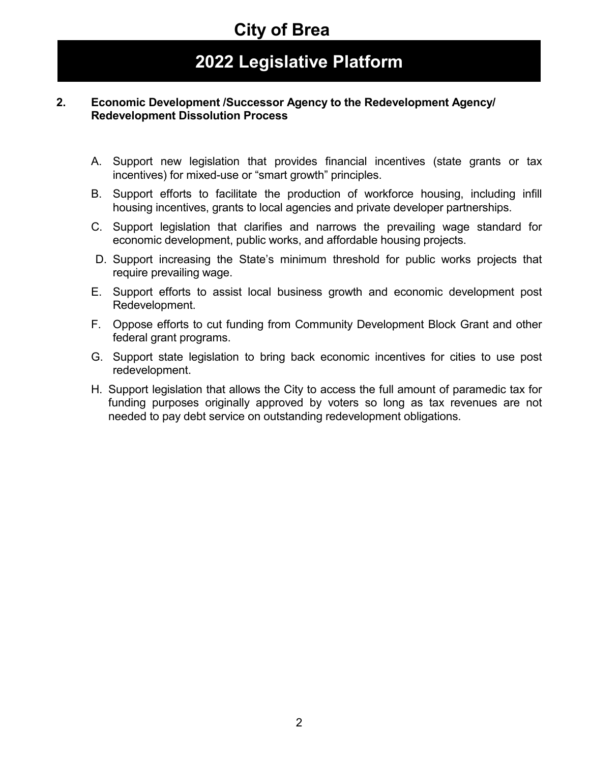### **2022 Legislative Platform**

#### **2. Economic Development /Successor Agency to the Redevelopment Agency/ Redevelopment Dissolution Process**

- A. Support new legislation that provides financial incentives (state grants or tax incentives) for mixed-use or "smart growth" principles.
- B. Support efforts to facilitate the production of workforce housing, including infill housing incentives, grants to local agencies and private developer partnerships.
- C. Support legislation that clarifies and narrows the prevailing wage standard for economic development, public works, and affordable housing projects.
- D. Support increasing the State's minimum threshold for public works projects that require prevailing wage.
- E. Support efforts to assist local business growth and economic development post Redevelopment.
- F. Oppose efforts to cut funding from Community Development Block Grant and other federal grant programs.
- G. Support state legislation to bring back economic incentives for cities to use post redevelopment.
- H. Support legislation that allows the City to access the full amount of paramedic tax for funding purposes originally approved by voters so long as tax revenues are not needed to pay debt service on outstanding redevelopment obligations.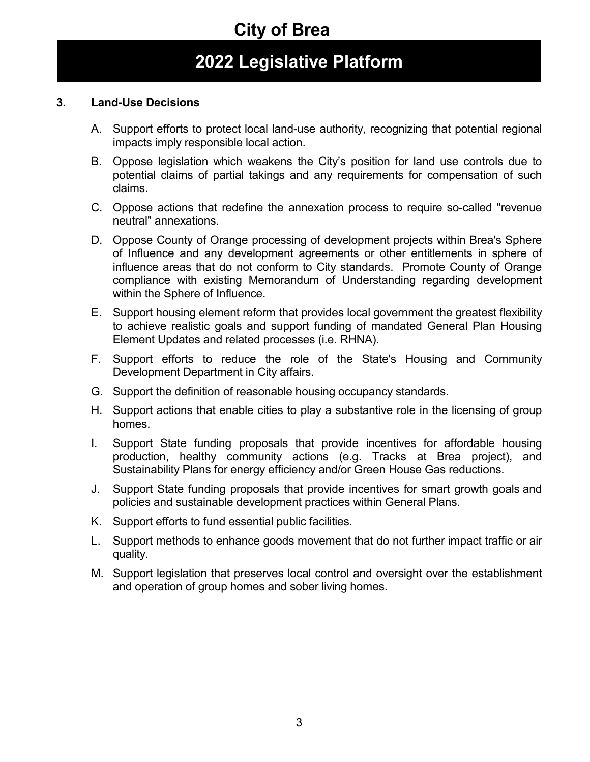## **2022 Legislative Platform**

### **3. Land-Use Decisions**

- A. Support efforts to protect local land-use authority, recognizing that potential regional impacts imply responsible local action.
- B. Oppose legislation which weakens the City's position for land use controls due to potential claims of partial takings and any requirements for compensation of such claims.
- C. Oppose actions that redefine the annexation process to require so-called "revenue neutral" annexations.
- D. Oppose County of Orange processing of development projects within Brea's Sphere of Influence and any development agreements or other entitlements in sphere of influence areas that do not conform to City standards. Promote County of Orange compliance with existing Memorandum of Understanding regarding development within the Sphere of Influence.
- E. Support housing element reform that provides local government the greatest flexibility to achieve realistic goals and support funding of mandated General Plan Housing Element Updates and related processes (i.e. RHNA).
- F. Support efforts to reduce the role of the State's Housing and Community Development Department in City affairs.
- G. Support the definition of reasonable housing occupancy standards.
- H. Support actions that enable cities to play a substantive role in the licensing of group homes.
- I. Support State funding proposals that provide incentives for affordable housing production, healthy community actions (e.g. Tracks at Brea project), and Sustainability Plans for energy efficiency and/or Green House Gas reductions.
- J. Support State funding proposals that provide incentives for smart growth goals and policies and sustainable development practices within General Plans.
- K. Support efforts to fund essential public facilities.
- L. Support methods to enhance goods movement that do not further impact traffic or air quality.
- M. Support legislation that preserves local control and oversight over the establishment and operation of group homes and sober living homes.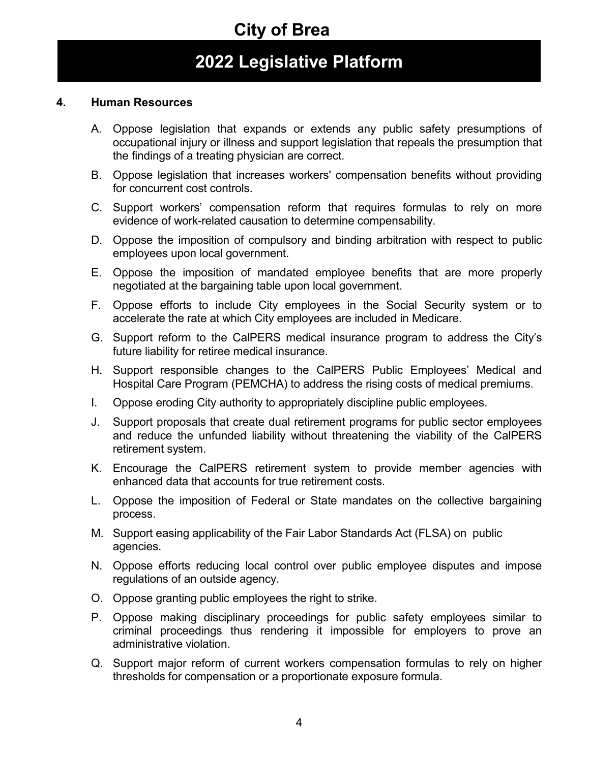### **2022 Legislative Platform**

#### **4. Human Resources**

- A. Oppose legislation that expands or extends any public safety presumptions of occupational injury or illness and support legislation that repeals the presumption that the findings of a treating physician are correct.
- B. Oppose legislation that increases workers' compensation benefits without providing for concurrent cost controls.
- C. Support workers' compensation reform that requires formulas to rely on more evidence of work-related causation to determine compensability.
- D. Oppose the imposition of compulsory and binding arbitration with respect to public employees upon local government.
- E. Oppose the imposition of mandated employee benefits that are more properly negotiated at the bargaining table upon local government.
- F. Oppose efforts to include City employees in the Social Security system or to accelerate the rate at which City employees are included in Medicare.
- G. Support reform to the CalPERS medical insurance program to address the City's future liability for retiree medical insurance.
- H. Support responsible changes to the CalPERS Public Employees' Medical and Hospital Care Program (PEMCHA) to address the rising costs of medical premiums.
- I. Oppose eroding City authority to appropriately discipline public employees.
- J. Support proposals that create dual retirement programs for public sector employees and reduce the unfunded liability without threatening the viability of the CalPERS retirement system.
- K. Encourage the CalPERS retirement system to provide member agencies with enhanced data that accounts for true retirement costs.
- L. Oppose the imposition of Federal or State mandates on the collective bargaining process.
- M. Support easing applicability of the Fair Labor Standards Act (FLSA) on public agencies.
- N. Oppose efforts reducing local control over public employee disputes and impose regulations of an outside agency.
- O. Oppose granting public employees the right to strike.
- P. Oppose making disciplinary proceedings for public safety employees similar to criminal proceedings thus rendering it impossible for employers to prove an administrative violation.
- Q. Support major reform of current workers compensation formulas to rely on higher thresholds for compensation or a proportionate exposure formula.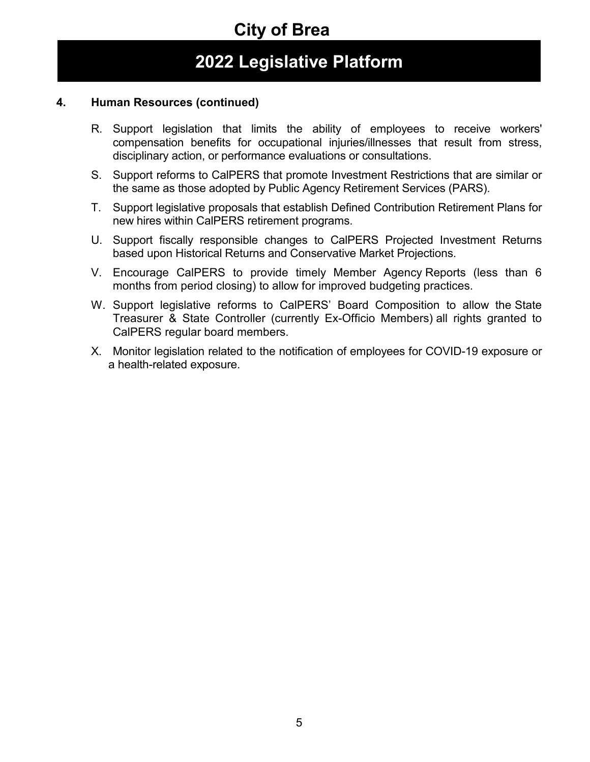### **2022 Legislative Platform**

### **4. Human Resources (continued)**

- R. Support legislation that limits the ability of employees to receive workers' compensation benefits for occupational injuries/illnesses that result from stress, disciplinary action, or performance evaluations or consultations.
- S. Support reforms to CalPERS that promote Investment Restrictions that are similar or the same as those adopted by Public Agency Retirement Services (PARS).
- T. Support legislative proposals that establish Defined Contribution Retirement Plans for new hires within CalPERS retirement programs.
- U. Support fiscally responsible changes to CalPERS Projected Investment Returns based upon Historical Returns and Conservative Market Projections.
- V. Encourage CalPERS to provide timely Member Agency Reports (less than 6 months from period closing) to allow for improved budgeting practices.
- W. Support legislative reforms to CalPERS' Board Composition to allow the State Treasurer & State Controller (currently Ex-Officio Members) all rights granted to CalPERS regular board members.
- X. Monitor legislation related to the notification of employees for COVID-19 exposure or a health-related exposure.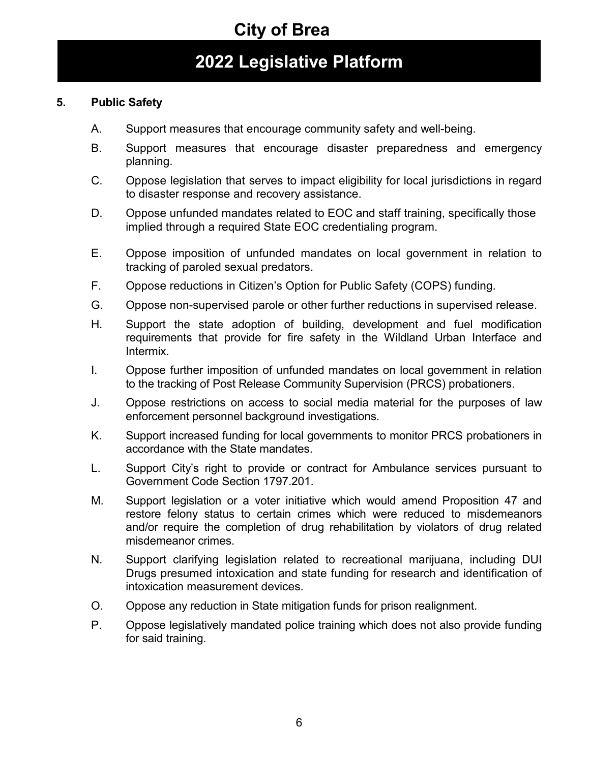## **2022 Legislative Platform**

### **5. Public Safety**

- A. Support measures that encourage community safety and well-being.
- B. Support measures that encourage disaster preparedness and emergency planning.
- C. Oppose legislation that serves to impact eligibility for local jurisdictions in regard to disaster response and recovery assistance.
- D. Oppose unfunded mandates related to EOC and staff training, specifically those implied through a required State EOC credentialing program.
- E. Oppose imposition of unfunded mandates on local government in relation to tracking of paroled sexual predators.
- F. Oppose reductions in Citizen's Option for Public Safety (COPS) funding.
- G. Oppose non-supervised parole or other further reductions in supervised release.
- H. Support the state adoption of building, development and fuel modification requirements that provide for fire safety in the Wildland Urban Interface and Intermix.
- I. Oppose further imposition of unfunded mandates on local government in relation to the tracking of Post Release Community Supervision (PRCS) probationers.
- J. Oppose restrictions on access to social media material for the purposes of law enforcement personnel background investigations.
- K. Support increased funding for local governments to monitor PRCS probationers in accordance with the State mandates.
- L. Support City's right to provide or contract for Ambulance services pursuant to Government Code Section 1797.201.
- M. Support legislation or a voter initiative which would amend Proposition 47 and restore felony status to certain crimes which were reduced to misdemeanors and/or require the completion of drug rehabilitation by violators of drug related misdemeanor crimes.
- N. Support clarifying legislation related to recreational marijuana, including DUI Drugs presumed intoxication and state funding for research and identification of intoxication measurement devices.
- O. Oppose any reduction in State mitigation funds for prison realignment.
- P. Oppose legislatively mandated police training which does not also provide funding for said training.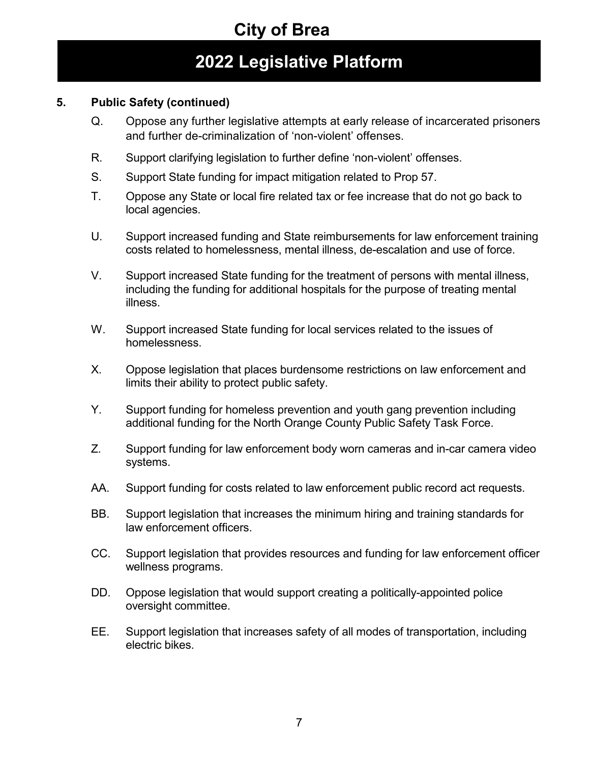## **2022 Legislative Platform**

### **5. Public Safety (continued)**

- Q. Oppose any further legislative attempts at early release of incarcerated prisoners and further de-criminalization of 'non-violent' offenses.
- R. Support clarifying legislation to further define 'non-violent' offenses.
- S. Support State funding for impact mitigation related to Prop 57.
- T. Oppose any State or local fire related tax or fee increase that do not go back to local agencies.
- U. Support increased funding and State reimbursements for law enforcement training costs related to homelessness, mental illness, de-escalation and use of force.
- V. Support increased State funding for the treatment of persons with mental illness, including the funding for additional hospitals for the purpose of treating mental illness.
- W. Support increased State funding for local services related to the issues of homelessness.
- X. Oppose legislation that places burdensome restrictions on law enforcement and limits their ability to protect public safety.
- Y. Support funding for homeless prevention and youth gang prevention including additional funding for the North Orange County Public Safety Task Force.
- Z. Support funding for law enforcement body worn cameras and in-car camera video systems.
- AA. Support funding for costs related to law enforcement public record act requests.
- BB. Support legislation that increases the minimum hiring and training standards for law enforcement officers.
- CC. Support legislation that provides resources and funding for law enforcement officer wellness programs.
- DD. Oppose legislation that would support creating a politically-appointed police oversight committee.
- EE. Support legislation that increases safety of all modes of transportation, including electric bikes.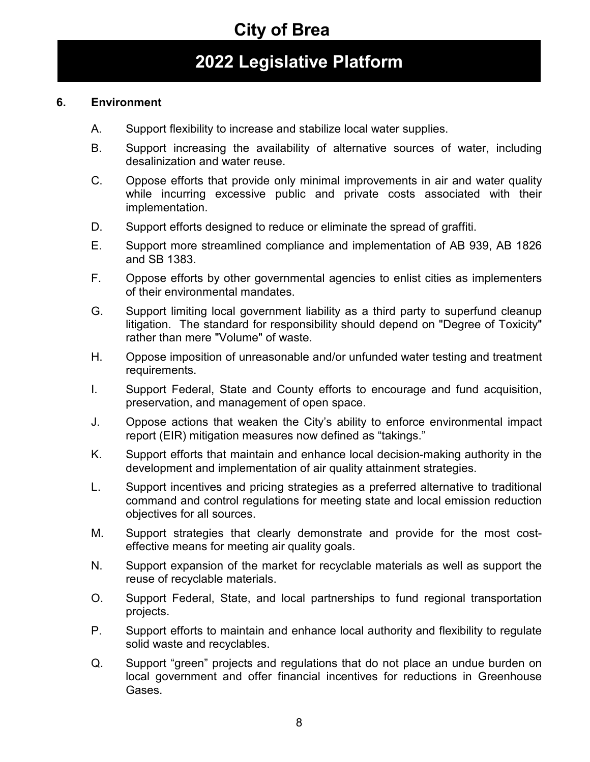### **2022 Legislative Platform**

#### **6. Environment**

- A. Support flexibility to increase and stabilize local water supplies.
- B. Support increasing the availability of alternative sources of water, including desalinization and water reuse.
- C. Oppose efforts that provide only minimal improvements in air and water quality while incurring excessive public and private costs associated with their implementation.
- D. Support efforts designed to reduce or eliminate the spread of graffiti.
- E. Support more streamlined compliance and implementation of AB 939, AB 1826 and SB 1383.
- F. Oppose efforts by other governmental agencies to enlist cities as implementers of their environmental mandates.
- G. Support limiting local government liability as a third party to superfund cleanup litigation. The standard for responsibility should depend on "Degree of Toxicity" rather than mere "Volume" of waste.
- H. Oppose imposition of unreasonable and/or unfunded water testing and treatment requirements.
- I. Support Federal, State and County efforts to encourage and fund acquisition, preservation, and management of open space.
- J. Oppose actions that weaken the City's ability to enforce environmental impact report (EIR) mitigation measures now defined as "takings."
- K. Support efforts that maintain and enhance local decision-making authority in the development and implementation of air quality attainment strategies.
- L. Support incentives and pricing strategies as a preferred alternative to traditional command and control regulations for meeting state and local emission reduction objectives for all sources.
- M. Support strategies that clearly demonstrate and provide for the most costeffective means for meeting air quality goals.
- N. Support expansion of the market for recyclable materials as well as support the reuse of recyclable materials.
- O. Support Federal, State, and local partnerships to fund regional transportation projects.
- P. Support efforts to maintain and enhance local authority and flexibility to regulate solid waste and recyclables.
- Q. Support "green" projects and regulations that do not place an undue burden on local government and offer financial incentives for reductions in Greenhouse Gases.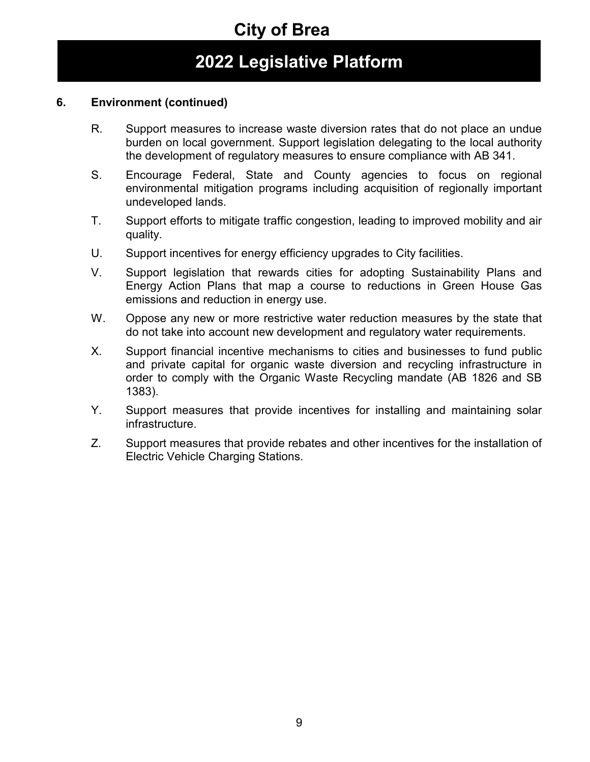## **2022 Legislative Platform**

### **6. Environment (continued)**

- R. Support measures to increase waste diversion rates that do not place an undue burden on local government. Support legislation delegating to the local authority the development of regulatory measures to ensure compliance with AB 341.
- S. Encourage Federal, State and County agencies to focus on regional environmental mitigation programs including acquisition of regionally important undeveloped lands.
- T. Support efforts to mitigate traffic congestion, leading to improved mobility and air quality.
- U. Support incentives for energy efficiency upgrades to City facilities.
- V. Support legislation that rewards cities for adopting Sustainability Plans and Energy Action Plans that map a course to reductions in Green House Gas emissions and reduction in energy use.
- W. Oppose any new or more restrictive water reduction measures by the state that do not take into account new development and regulatory water requirements.
- X. Support financial incentive mechanisms to cities and businesses to fund public and private capital for organic waste diversion and recycling infrastructure in order to comply with the Organic Waste Recycling mandate (AB 1826 and SB 1383).
- Y. Support measures that provide incentives for installing and maintaining solar infrastructure.
- Z. Support measures that provide rebates and other incentives for the installation of Electric Vehicle Charging Stations.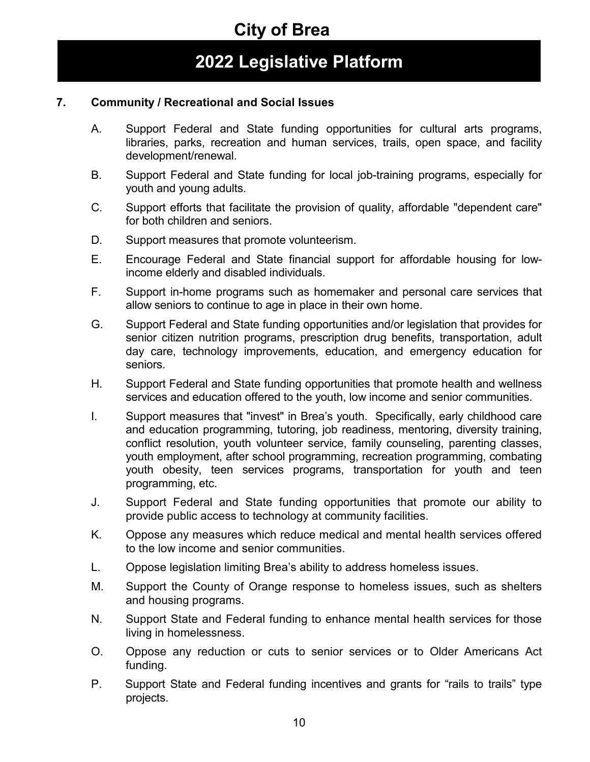### **2022 Legislative Platform**

#### **7. Community / Recreational and Social Issues**

- A. Support Federal and State funding opportunities for cultural arts programs, libraries, parks, recreation and human services, trails, open space, and facility development/renewal.
- B. Support Federal and State funding for local job-training programs, especially for youth and young adults.
- C. Support efforts that facilitate the provision of quality, affordable "dependent care" for both children and seniors.
- D. Support measures that promote volunteerism.
- E. Encourage Federal and State financial support for affordable housing for lowincome elderly and disabled individuals.
- F. Support in-home programs such as homemaker and personal care services that allow seniors to continue to age in place in their own home.
- G. Support Federal and State funding opportunities and/or legislation that provides for senior citizen nutrition programs, prescription drug benefits, transportation, adult day care, technology improvements, education, and emergency education for seniors.
- H. Support Federal and State funding opportunities that promote health and wellness services and education offered to the youth, low income and senior communities.
- I. Support measures that "invest" in Brea's youth. Specifically, early childhood care and education programming, tutoring, job readiness, mentoring, diversity training, conflict resolution, youth volunteer service, family counseling, parenting classes, youth employment, after school programming, recreation programming, combating youth obesity, teen services programs, transportation for youth and teen programming, etc.
- J. Support Federal and State funding opportunities that promote our ability to provide public access to technology at community facilities.
- K. Oppose any measures which reduce medical and mental health services offered to the low income and senior communities.
- L. Oppose legislation limiting Brea's ability to address homeless issues.
- M. Support the County of Orange response to homeless issues, such as shelters and housing programs.
- N. Support State and Federal funding to enhance mental health services for those living in homelessness.
- O. Oppose any reduction or cuts to senior services or to Older Americans Act funding.
- P. Support State and Federal funding incentives and grants for "rails to trails" type projects.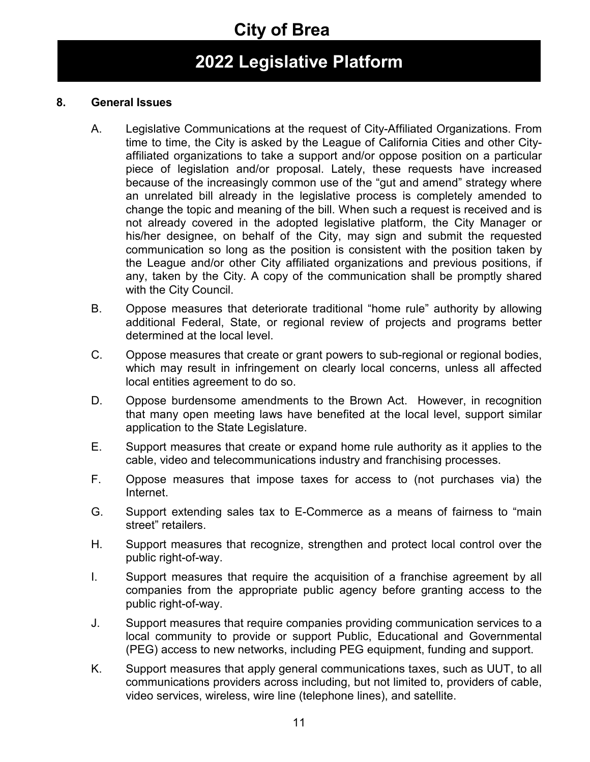## **2022 Legislative Platform**

#### **8. General Issues**

- A. Legislative Communications at the request of City-Affiliated Organizations. From time to time, the City is asked by the League of California Cities and other Cityaffiliated organizations to take a support and/or oppose position on a particular piece of legislation and/or proposal. Lately, these requests have increased because of the increasingly common use of the "gut and amend" strategy where an unrelated bill already in the legislative process is completely amended to change the topic and meaning of the bill. When such a request is received and is not already covered in the adopted legislative platform, the City Manager or his/her designee, on behalf of the City, may sign and submit the requested communication so long as the position is consistent with the position taken by the League and/or other City affiliated organizations and previous positions, if any, taken by the City. A copy of the communication shall be promptly shared with the City Council.
- B. Oppose measures that deteriorate traditional "home rule" authority by allowing additional Federal, State, or regional review of projects and programs better determined at the local level.
- C. Oppose measures that create or grant powers to sub-regional or regional bodies, which may result in infringement on clearly local concerns, unless all affected local entities agreement to do so.
- D. Oppose burdensome amendments to the Brown Act. However, in recognition that many open meeting laws have benefited at the local level, support similar application to the State Legislature.
- E. Support measures that create or expand home rule authority as it applies to the cable, video and telecommunications industry and franchising processes.
- F. Oppose measures that impose taxes for access to (not purchases via) the Internet.
- G. Support extending sales tax to E-Commerce as a means of fairness to "main street" retailers.
- H. Support measures that recognize, strengthen and protect local control over the public right-of-way.
- I. Support measures that require the acquisition of a franchise agreement by all companies from the appropriate public agency before granting access to the public right-of-way.
- J. Support measures that require companies providing communication services to a local community to provide or support Public, Educational and Governmental (PEG) access to new networks, including PEG equipment, funding and support.
- K. Support measures that apply general communications taxes, such as UUT, to all communications providers across including, but not limited to, providers of cable, video services, wireless, wire line (telephone lines), and satellite.